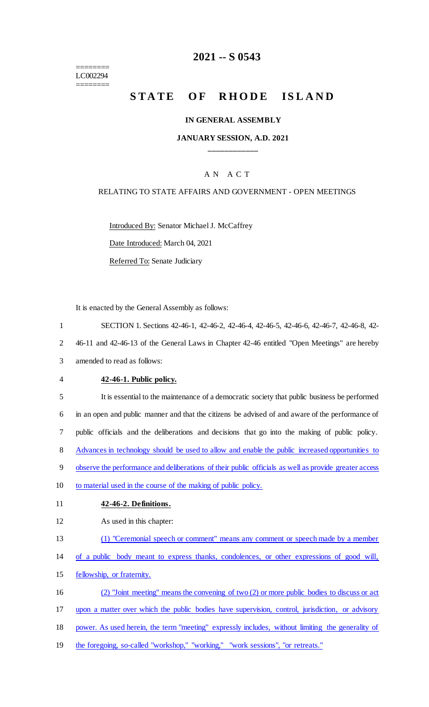======== LC002294 ========

# **2021 -- S 0543**

# STATE OF RHODE ISLAND

#### **IN GENERAL ASSEMBLY**

#### **JANUARY SESSION, A.D. 2021 \_\_\_\_\_\_\_\_\_\_\_\_**

## A N A C T

#### RELATING TO STATE AFFAIRS AND GOVERNMENT - OPEN MEETINGS

Introduced By: Senator Michael J. McCaffrey

Date Introduced: March 04, 2021

Referred To: Senate Judiciary

It is enacted by the General Assembly as follows:

1 SECTION 1. Sections 42-46-1, 42-46-2, 42-46-4, 42-46-5, 42-46-6, 42-46-7, 42-46-8, 42-

2 46-11 and 42-46-13 of the General Laws in Chapter 42-46 entitled "Open Meetings" are hereby

3 amended to read as follows:

4 **42-46-1. Public policy.**

 It is essential to the maintenance of a democratic society that public business be performed in an open and public manner and that the citizens be advised of and aware of the performance of public officials and the deliberations and decisions that go into the making of public policy. Advances in technology should be used to allow and enable the public increased opportunities to observe the performance and deliberations of their public officials as well as provide greater access 10 to material used in the course of the making of public policy.

- 11 **42-46-2. Definitions.**
- 12 As used in this chapter:
- 13 (1) "Ceremonial speech or comment" means any comment or speech made by a member
- 14 of a public body meant to express thanks, condolences, or other expressions of good will,
- 15 fellowship, or fraternity.

16 (2) "Joint meeting" means the convening of two (2) or more public bodies to discuss or act

17 upon a matter over which the public bodies have supervision, control, jurisdiction, or advisory

- 18 power. As used herein, the term "meeting" expressly includes, without limiting the generality of
- 19 the foregoing, so-called "workshop," "working," "work sessions", "or retreats."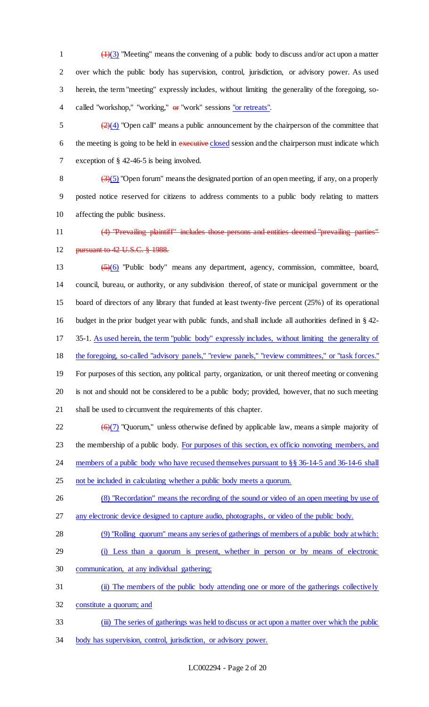$\left(\frac{1}{3}\right)$  "Meeting" means the convening of a public body to discuss and/or act upon a matter over which the public body has supervision, control, jurisdiction, or advisory power. As used herein, the term "meeting" expressly includes, without limiting the generality of the foregoing, so-4 called "workshop," "working,"  $\theta$  "work" sessions "or retreats".

 $\frac{2}{2}(4)$  "Open call" means a public announcement by the chairperson of the committee that 6 the meeting is going to be held in executive closed session and the chairperson must indicate which exception of § 42-46-5 is being involved.

8  $\left(\frac{3}{5}\right)$  "Open forum" means the designated portion of an open meeting, if any, on a properly posted notice reserved for citizens to address comments to a public body relating to matters affecting the public business.

 (4) "Prevailing plaintiff" includes those persons and entities deemed "prevailing parties" **pursuant to 42 U.S.C. § 1988.** 

 (5)(6) "Public body" means any department, agency, commission, committee, board, council, bureau, or authority, or any subdivision thereof, of state or municipal government or the board of directors of any library that funded at least twenty-five percent (25%) of its operational budget in the prior budget year with public funds, and shall include all authorities defined in § 42- 35-1. As used herein, the term "public body" expressly includes, without limiting the generality of 18 the foregoing, so-called "advisory panels," "review panels," "review committees," or "task forces." For purposes of this section, any political party, organization, or unit thereof meeting or convening is not and should not be considered to be a public body; provided, however, that no such meeting shall be used to circumvent the requirements of this chapter.

22  $\left(\frac{\Theta(7)}{}$  "Quorum," unless otherwise defined by applicable law, means a simple majority of the membership of a public body. For purposes of this section, ex officio nonvoting members, and

24 members of a public body who have recused themselves pursuant to §§ 36-14-5 and 36-14-6 shall

not be included in calculating whether a public body meets a quorum.

 (8) "Recordation" means the recording of the sound or video of an open meeting by use of any electronic device designed to capture audio, photographs, or video of the public body.

(9) "Rolling quorum" means any series of gatherings of members of a public body at which:

- (i) Less than a quorum is present, whether in person or by means of electronic
- communication, at any individual gathering;

(ii) The members of the public body attending one or more of the gatherings collectively

constitute a quorum; and

(iii) The series of gatherings was held to discuss or act upon a matter over which the public

body has supervision, control, jurisdiction, or advisory power.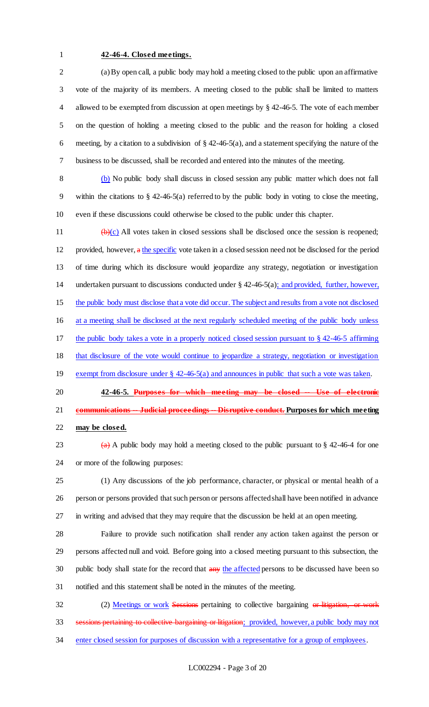#### **42-46-4. Closed meetings.**

 (a) By open call, a public body may hold a meeting closed to the public upon an affirmative vote of the majority of its members. A meeting closed to the public shall be limited to matters allowed to be exempted from discussion at open meetings by § 42-46-5. The vote of each member on the question of holding a meeting closed to the public and the reason for holding a closed 6 meeting, by a citation to a subdivision of  $\S$  42-46-5(a), and a statement specifying the nature of the business to be discussed, shall be recorded and entered into the minutes of the meeting.

 (b) No public body shall discuss in closed session any public matter which does not fall within the citations to § 42-46-5(a) referred to by the public body in voting to close the meeting, even if these discussions could otherwise be closed to the public under this chapter.

 $\left(\frac{b}{c}\right)$  All votes taken in closed sessions shall be disclosed once the session is reopened; provided, however, a the specific vote taken in a closed session need not be disclosed for the period of time during which its disclosure would jeopardize any strategy, negotiation or investigation undertaken pursuant to discussions conducted under § 42-46-5(a); and provided, further, however, the public body must disclose that a vote did occur. The subject and results from a vote not disclosed at a meeting shall be disclosed at the next regularly scheduled meeting of the public body unless the public body takes a vote in a properly noticed closed session pursuant to § 42-46-5 affirming that disclosure of the vote would continue to jeopardize a strategy, negotiation or investigation 19 exempt from disclosure under § 42-46-5(a) and announces in public that such a vote was taken. **42-46-5. Purposes for which meeting may be closed -- Use of electronic communications -- Judicial proceedings -- Disruptive conduct. Purposes for which meeting** 

**may be closed.**

23 (a) A public body may hold a meeting closed to the public pursuant to  $\S$  42-46-4 for one or more of the following purposes:

 (1) Any discussions of the job performance, character, or physical or mental health of a person or persons provided that such person or persons affected shall have been notified in advance in writing and advised that they may require that the discussion be held at an open meeting.

 Failure to provide such notification shall render any action taken against the person or persons affected null and void. Before going into a closed meeting pursuant to this subsection, the 30 public body shall state for the record that any the affected persons to be discussed have been so notified and this statement shall be noted in the minutes of the meeting.

32 (2) Meetings or work Sessions pertaining to collective bargaining or litigation, or work 33 sessions pertaining to collective bargaining or litigation; provided, however, a public body may not enter closed session for purposes of discussion with a representative for a group of employees.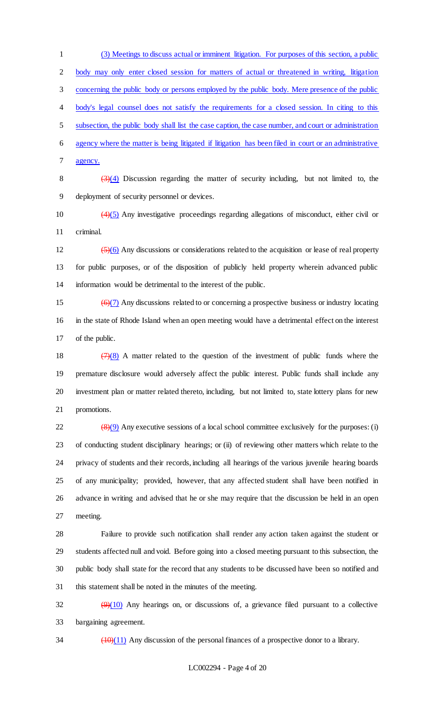(3) Meetings to discuss actual or imminent litigation. For purposes of this section, a public body may only enter closed session for matters of actual or threatened in writing, litigation concerning the public body or persons employed by the public body. Mere presence of the public body's legal counsel does not satisfy the requirements for a closed session. In citing to this subsection, the public body shall list the case caption, the case number, and court or administration agency where the matter is being litigated if litigation has been filed in court or an administrative agency.

8  $(3)(4)$  Discussion regarding the matter of security including, but not limited to, the deployment of security personnel or devices.

 (4)(5) Any investigative proceedings regarding allegations of misconduct, either civil or criminal.

 $\frac{12}{(5)(6)}$  Any discussions or considerations related to the acquisition or lease of real property for public purposes, or of the disposition of publicly held property wherein advanced public information would be detrimental to the interest of the public.

15  $(6)(7)$  Any discussions related to or concerning a prospective business or industry locating in the state of Rhode Island when an open meeting would have a detrimental effect on the interest of the public.

 $(7)(8)$  A matter related to the question of the investment of public funds where the premature disclosure would adversely affect the public interest. Public funds shall include any investment plan or matter related thereto, including, but not limited to, state lottery plans for new promotions.

 $\frac{(8)(9)}{22}$  Any executive sessions of a local school committee exclusively for the purposes: (i) of conducting student disciplinary hearings; or (ii) of reviewing other matters which relate to the privacy of students and their records, including all hearings of the various juvenile hearing boards of any municipality; provided, however, that any affected student shall have been notified in advance in writing and advised that he or she may require that the discussion be held in an open meeting.

 Failure to provide such notification shall render any action taken against the student or students affected null and void. Before going into a closed meeting pursuant to this subsection, the public body shall state for the record that any students to be discussed have been so notified and this statement shall be noted in the minutes of the meeting.

 $\frac{99(10)}{2}$  Any hearings on, or discussions of, a grievance filed pursuant to a collective bargaining agreement.

 $\frac{(10)(11)}{(10)(11)}$  Any discussion of the personal finances of a prospective donor to a library.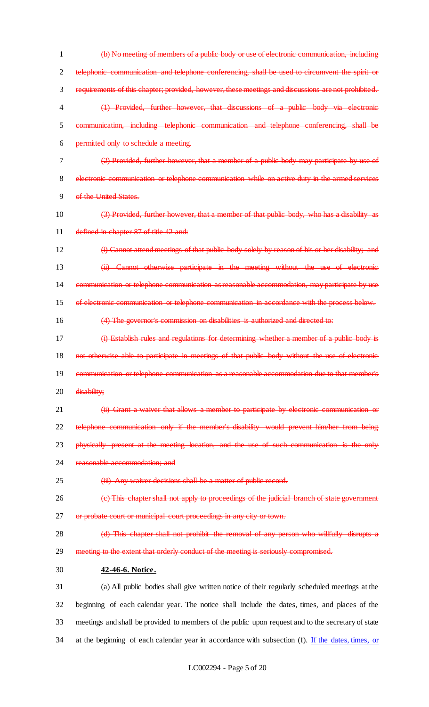(b) No meeting of members of a public body or use of electronic communication, including telephonic communication and telephone conferencing, shall be used to circumvent the spirit or requirements of this chapter; provided, however, these meetings and discussions are not prohibited. (1) Provided, further however, that discussions of a public body via electronic communication, including telephonic communication and telephone conferencing, shall be permitted only to schedule a meeting. (2) Provided, further however, that a member of a public body may participate by use of electronic communication or telephone communication while on active duty in the armed services of the United States. (3) Provided, further however, that a member of that public body, who has a disability as 11 defined in chapter 87 of title 42 and: (i) Cannot attend meetings of that public body solely by reason of his or her disability; and (ii) Cannot otherwise participate in the meeting without the use of electronic 14 communication or telephone communication as reasonable accommodation, may participate by use of electronic communication or telephone communication in accordance with the process below. (4) The governor's commission on disabilities is authorized and directed to: (i) Establish rules and regulations for determining whether a member of a public body is 18 not otherwise able to participate in meetings of that public body without the use of electronic communication or telephone communication as a reasonable accommodation due to that member's 20 <del>disability;</del> 21 (ii) Grant a waiver that allows a member to participate by electronic communication or telephone communication only if the member's disability would prevent him/her from being **physically present at the meeting location, and the use of such communication is the only** 24 reasonable accommodation; and 25 (iii) Any waiver decisions shall be a matter of public record. (c) This chapter shall not apply to proceedings of the judicial branch of state government 27 or probate court or municipal court proceedings in any city or town. 28 (d) This chapter shall not prohibit the removal of any person who willfully disrupts a 29 meeting to the extent that orderly conduct of the meeting is seriously compromised. **42-46-6. Notice.** (a) All public bodies shall give written notice of their regularly scheduled meetings at the beginning of each calendar year. The notice shall include the dates, times, and places of the meetings and shall be provided to members of the public upon request and to the secretary of state 34 at the beginning of each calendar year in accordance with subsection (f). If the dates, times, or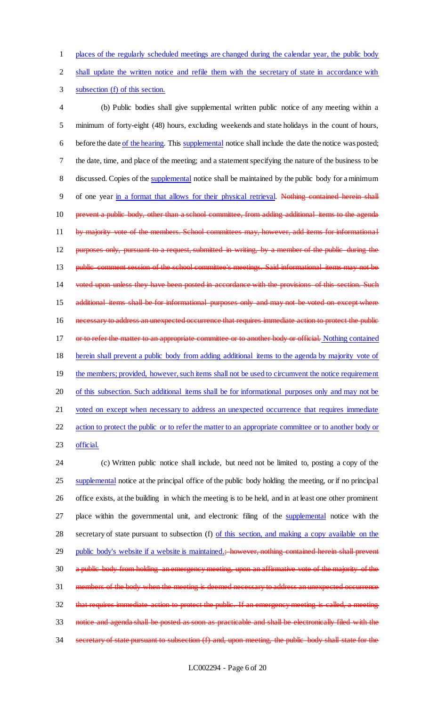1 places of the regularly scheduled meetings are changed during the calendar year, the public body

2 shall update the written notice and refile them with the secretary of state in accordance with

3 subsection (f) of this section.

4 (b) Public bodies shall give supplemental written public notice of any meeting within a 5 minimum of forty-eight (48) hours, excluding weekends and state holidays in the count of hours, 6 before the date of the hearing. This supplemental notice shall include the date the notice was posted; 7 the date, time, and place of the meeting; and a statement specifying the nature of the business to be 8 discussed. Copies of the supplemental notice shall be maintained by the public body for a minimum 9 of one year in a format that allows for their physical retrieval. Nothing contained herein shall 10 prevent a public body, other than a school committee, from adding additional items to the agenda 11 by majority vote of the members. School committees may, however, add items for informational 12 purposes only, pursuant to a request, submitted in writing, by a member of the public during the 13 public comment session of the school committee's meetings. Said informational items may not be 14 voted upon unless they have been posted in accordance with the provisions of this section. Such 15 additional items shall be for informational purposes only and may not be voted on except where 16 necessary to address an unexpected occurrence that requires immediate action to protect the public 17 or to refer the matter to an appropriate committee or to another body or official. Nothing contained 18 herein shall prevent a public body from adding additional items to the agenda by majority vote of 19 the members; provided, however, such items shall not be used to circumvent the notice requirement 20 of this subsection. Such additional items shall be for informational purposes only and may not be 21 voted on except when necessary to address an unexpected occurrence that requires immediate 22 action to protect the public or to refer the matter to an appropriate committee or to another body or

23 official.

24 (c) Written public notice shall include, but need not be limited to, posting a copy of the 25 supplemental notice at the principal office of the public body holding the meeting, or if no principal 26 office exists, at the building in which the meeting is to be held, and in at least one other prominent 27 place within the governmental unit, and electronic filing of the supplemental notice with the 28 secretary of state pursuant to subsection (f) of this section, and making a copy available on the 29 public body's website if a website is maintained.; however, nothing contained herein shall prevent 30 a public body from holding an emergency meeting, upon an affirmative vote of the majority of the 31 members of the body when the meeting is deemed necessary to address an unexpected occurrence 32 that requires immediate action to protect the public. If an emergency meeting is called, a meeting 33 notice and agenda shall be posted as soon as practicable and shall be electronically filed with the 34 secretary of state pursuant to subsection (f) and, upon meeting, the public body shall state for the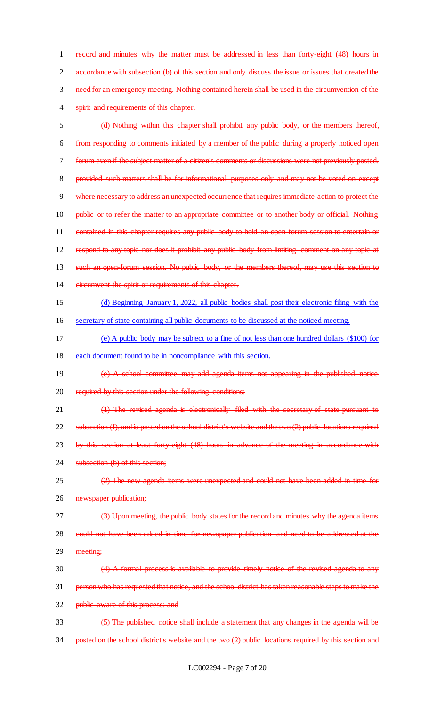1 record and minutes why the matter must be addressed in less than forty-eight (48) hours in 2 accordance with subsection (b) of this section and only discuss the issue or issues that created the 3 need for an emergency meeting. Nothing contained herein shall be used in the circumvention of the 4 spirit and requirements of this chapter.

5 (d) Nothing within this chapter shall prohibit any public body, or the members thereof, 6 from responding to comments initiated by a member of the public during a properly noticed open 7 forum even if the subject matter of a citizen's comments or discussions were not previously posted, 8 provided such matters shall be for informational purposes only and may not be voted on except 9 where necessary to address an unexpected occurrence that requires immediate action to protect the 10 public or to refer the matter to an appropriate committee or to another body or official. Nothing 11 contained in this chapter requires any public body to hold an open-forum session to entertain or 12 respond to any topic nor does it prohibit any public body from limiting comment on any topic at 13 such an open-forum session. No public body, or the members thereof, may use this section to 14 eircumvent the spirit or requirements of this chapter. 15 (d) Beginning January 1, 2022, all public bodies shall post their electronic filing with the 16 secretary of state containing all public documents to be discussed at the noticed meeting. 17 (e) A public body may be subject to a fine of not less than one hundred dollars (\$100) for 18 each document found to be in noncompliance with this section. 19 (e) A school committee may add agenda items not appearing in the published notice 20 required by this section under the following conditions: 21 (1) The revised agenda is electronically filed with the secretary of state pursuant to 22 subsection (f), and is posted on the school district's website and the two (2) public locations required 23 by this section at least forty-eight (48) hours in advance of the meeting in accordance with 24 subsection (b) of this section;  $(2)$  The new agenda items were unexpected and could not have been added in time for 26 newspaper publication; 27 (3) Upon meeting, the public body states for the record and minutes why the agenda items 28 could not have been added in time for newspaper publication and need to be addressed at the 29 meeting: 30 (4) A formal process is available to provide timely notice of the revised agenda to any 31 person who has requested that notice, and the school district has taken reasonable steps to make the 32 public aware of this process; and 33 (5) The published notice shall include a statement that any changes in the agenda will be 34 posted on the school district's website and the two (2) public locations required by this section and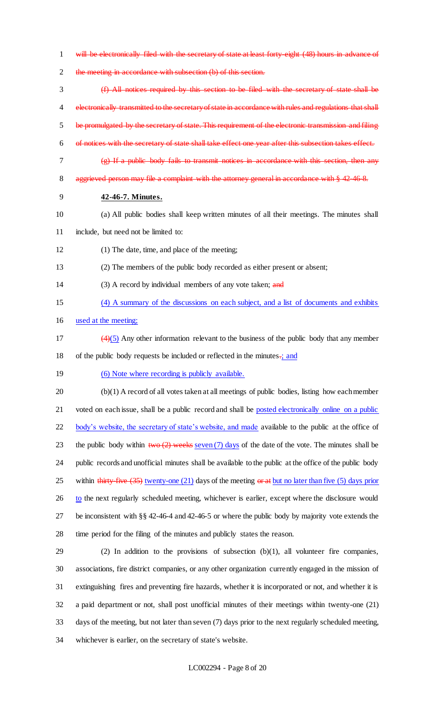- 1 will be electronically filed with the secretary of state at least forty-eight (48) hours in advance of
- the meeting in accordance with subsection (b) of this section.
- (f) All notices required by this section to be filed with the secretary of state shall be 4 electronically transmitted to the secretary of state in accordance with rules and regulations that shall be promulgated by the secretary of state. This requirement of the electronic transmission and filing of notices with the secretary of state shall take effect one year after this subsection takes effect.
- (g) If a public body fails to transmit notices in accordance with this section, then any
- 8 aggrieved person may file a complaint with the attorney general in accordance with § 42-46-8.
- **42-46-7. Minutes.**
- (a) All public bodies shall keep written minutes of all their meetings. The minutes shall
- include, but need not be limited to:
- (1) The date, time, and place of the meeting;
- (2) The members of the public body recorded as either present or absent;
- 14 (3) A record by individual members of any vote taken; and
- (4) A summary of the discussions on each subject, and a list of documents and exhibits

used at the meeting;

- 17  $\left(4\right)(5)$  Any other information relevant to the business of the public body that any member 18 of the public body requests be included or reflected in the minutes.; and
- 19 (6) Note where recording is publicly available.

 (b)(1) A record of all votes taken at all meetings of public bodies, listing how each member 21 voted on each issue, shall be a public record and shall be posted electronically online on a public 22 body's website, the secretary of state's website, and made available to the public at the office of 23 the public body within  $two (2)$  weeks seven (7) days of the date of the vote. The minutes shall be public records and unofficial minutes shall be available to the public at the office of the public body 25 within thirty-five (35) twenty-one (21) days of the meeting or at but no later than five (5) days prior to the next regularly scheduled meeting, whichever is earlier, except where the disclosure would be inconsistent with §§ 42-46-4 and 42-46-5 or where the public body by majority vote extends the time period for the filing of the minutes and publicly states the reason.

 (2) In addition to the provisions of subsection (b)(1), all volunteer fire companies, associations, fire district companies, or any other organization currently engaged in the mission of extinguishing fires and preventing fire hazards, whether it is incorporated or not, and whether it is a paid department or not, shall post unofficial minutes of their meetings within twenty-one (21) days of the meeting, but not later than seven (7) days prior to the next regularly scheduled meeting, whichever is earlier, on the secretary of state's website.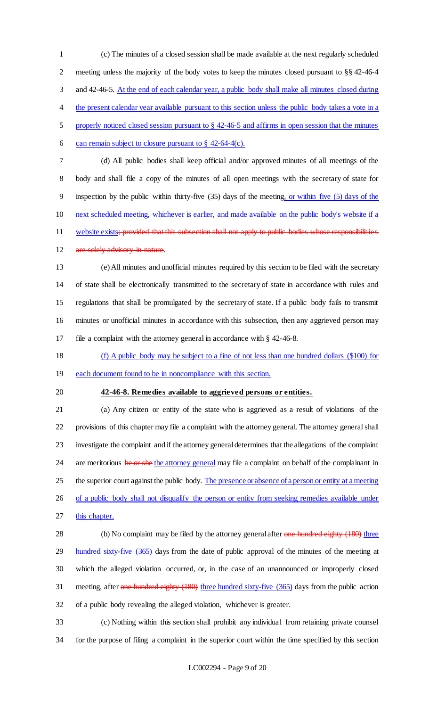(c) The minutes of a closed session shall be made available at the next regularly scheduled meeting unless the majority of the body votes to keep the minutes closed pursuant to §§ 42-46-4 3 and 42-46-5. At the end of each calendar year, a public body shall make all minutes closed during 4 the present calendar year available pursuant to this section unless the public body takes a vote in a properly noticed closed session pursuant to § 42-46-5 and affirms in open session that the minutes 6 can remain subject to closure pursuant to  $\S$  42-64-4(c). (d) All public bodies shall keep official and/or approved minutes of all meetings of the body and shall file a copy of the minutes of all open meetings with the secretary of state for

inspection by the public within thirty-five (35) days of the meeting, or within five (5) days of the

next scheduled meeting, whichever is earlier, and made available on the public body's website if a

11 website exists; provided that this subsection shall not apply to public bodies whose responsibilities

# 12 are solely advisory in nature.

 (e) All minutes and unofficial minutes required by this section to be filed with the secretary of state shall be electronically transmitted to the secretary of state in accordance with rules and regulations that shall be promulgated by the secretary of state. If a public body fails to transmit minutes or unofficial minutes in accordance with this subsection, then any aggrieved person may file a complaint with the attorney general in accordance with § 42-46-8.

(f) A public body may be subject to a fine of not less than one hundred dollars (\$100) for

- 19 each document found to be in noncompliance with this section.
- 

#### **42-46-8. Remedies available to aggrieved persons or entities.**

 (a) Any citizen or entity of the state who is aggrieved as a result of violations of the provisions of this chapter may file a complaint with the attorney general. The attorney general shall investigate the complaint and if the attorney general determines that the allegations of the complaint 24 are meritorious he or she the attorney general may file a complaint on behalf of the complainant in 25 the superior court against the public body. The presence or absence of a person or entity at a meeting 26 of a public body shall not disqualify the person or entity from seeking remedies available under this chapter.

28 (b) No complaint may be filed by the attorney general after one hundred eighty (180) three 29 hundred sixty-five (365) days from the date of public approval of the minutes of the meeting at which the alleged violation occurred, or, in the case of an unannounced or improperly closed meeting, after one hundred eighty (180) three hundred sixty-five (365) days from the public action of a public body revealing the alleged violation, whichever is greater.

 (c) Nothing within this section shall prohibit any individual from retaining private counsel for the purpose of filing a complaint in the superior court within the time specified by this section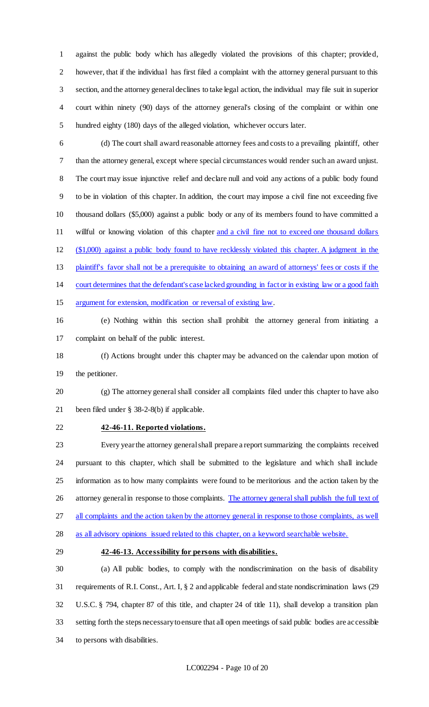against the public body which has allegedly violated the provisions of this chapter; provided, however, that if the individual has first filed a complaint with the attorney general pursuant to this section, and the attorney general declines to take legal action, the individual may file suit in superior court within ninety (90) days of the attorney general's closing of the complaint or within one hundred eighty (180) days of the alleged violation, whichever occurs later.

 (d) The court shall award reasonable attorney fees and costs to a prevailing plaintiff, other than the attorney general, except where special circumstances would render such an award unjust. The court may issue injunctive relief and declare null and void any actions of a public body found to be in violation of this chapter. In addition, the court may impose a civil fine not exceeding five thousand dollars (\$5,000) against a public body or any of its members found to have committed a 11 willful or knowing violation of this chapter and a civil fine not to exceed one thousand dollars (\$1,000) against a public body found to have recklessly violated this chapter. A judgment in the plaintiff's favor shall not be a prerequisite to obtaining an award of attorneys' fees or costs if the court determines that the defendant's case lacked grounding in fact or in existing law or a good faith 15 argument for extension, modification or reversal of existing law.

 (e) Nothing within this section shall prohibit the attorney general from initiating a complaint on behalf of the public interest.

 (f) Actions brought under this chapter may be advanced on the calendar upon motion of the petitioner.

 (g) The attorney general shall consider all complaints filed under this chapter to have also been filed under § 38-2-8(b) if applicable.

# **42-46-11. Reported violations.**

 Every year the attorney general shall prepare a report summarizing the complaints received pursuant to this chapter, which shall be submitted to the legislature and which shall include information as to how many complaints were found to be meritorious and the action taken by the 26 attorney general in response to those complaints. The attorney general shall publish the full text of 27 all complaints and the action taken by the attorney general in response to those complaints, as well as all advisory opinions issued related to this chapter, on a keyword searchable website.

#### **42-46-13. Accessibility for persons with disabilities.**

 (a) All public bodies, to comply with the nondiscrimination on the basis of disability requirements of R.I. Const., Art. I, § 2 and applicable federal and state nondiscrimination laws (29 U.S.C. § 794, chapter 87 of this title, and chapter 24 of title 11), shall develop a transition plan setting forth the steps necessary to ensure that all open meetings of said public bodies are accessible to persons with disabilities.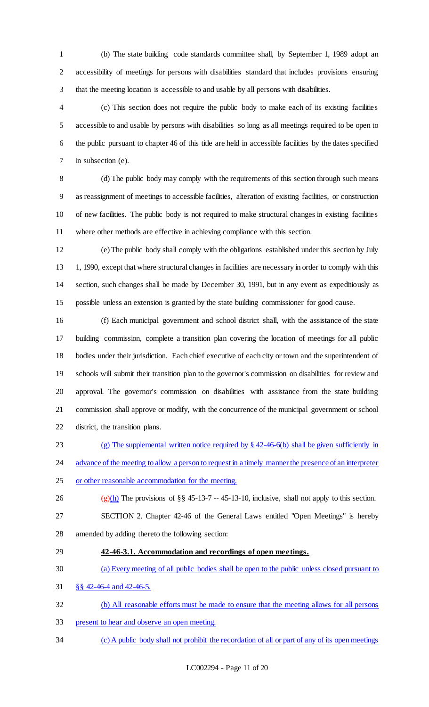(b) The state building code standards committee shall, by September 1, 1989 adopt an accessibility of meetings for persons with disabilities standard that includes provisions ensuring that the meeting location is accessible to and usable by all persons with disabilities.

 (c) This section does not require the public body to make each of its existing facilities accessible to and usable by persons with disabilities so long as all meetings required to be open to the public pursuant to chapter 46 of this title are held in accessible facilities by the dates specified in subsection (e).

 (d) The public body may comply with the requirements of this section through such means as reassignment of meetings to accessible facilities, alteration of existing facilities, or construction of new facilities. The public body is not required to make structural changes in existing facilities where other methods are effective in achieving compliance with this section.

 (e) The public body shall comply with the obligations established under this section by July 13 1, 1990, except that where structural changes in facilities are necessary in order to comply with this section, such changes shall be made by December 30, 1991, but in any event as expeditiously as possible unless an extension is granted by the state building commissioner for good cause.

 (f) Each municipal government and school district shall, with the assistance of the state building commission, complete a transition plan covering the location of meetings for all public bodies under their jurisdiction. Each chief executive of each city or town and the superintendent of schools will submit their transition plan to the governor's commission on disabilities for review and approval. The governor's commission on disabilities with assistance from the state building commission shall approve or modify, with the concurrence of the municipal government or school district, the transition plans.

(g) The supplemental written notice required by § 42-46-6(b) shall be given sufficiently in

24 advance of the meeting to allow a person to request in a timely manner the presence of an interpreter

- or other reasonable accommodation for the meeting.
- 26 (g)(h) The provisions of §§ 45-13-7 -- 45-13-10, inclusive, shall not apply to this section. SECTION 2. Chapter 42-46 of the General Laws entitled "Open Meetings" is hereby
- amended by adding thereto the following section:
- **42-46-3.1. Accommodation and recordings of open meetings.**
- (a) Every meeting of all public bodies shall be open to the public unless closed pursuant to

§§ 42-46-4 and 42-46-5.

- (b) All reasonable efforts must be made to ensure that the meeting allows for all persons
- present to hear and observe an open meeting.
- (c) A public body shall not prohibit the recordation of all or part of any of its open meetings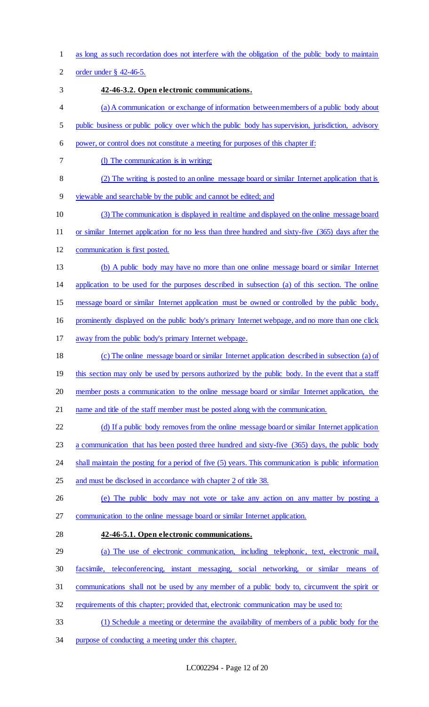as long as such recordation does not interfere with the obligation of the public body to maintain

order under § 42-46-5.

**42-46-3.2. Open electronic communications.** 

- (a) A communication or exchange of information between members of a public body about
- public business or public policy over which the public body has supervision, jurisdiction, advisory

power, or control does not constitute a meeting for purposes of this chapter if:

- 7 (I) The communication is in writing;
- (2) The writing is posted to an online message board or similar Internet application that is

viewable and searchable by the public and cannot be edited; and

- (3) The communication is displayed in real time and displayed on the online message board
- or similar Internet application for no less than three hundred and sixty-five (365) days after the
- communication is first posted.
- (b) A public body may have no more than one online message board or similar Internet

application to be used for the purposes described in subsection (a) of this section. The online

message board or similar Internet application must be owned or controlled by the public body,

prominently displayed on the public body's primary Internet webpage, and no more than one click

away from the public body's primary Internet webpage.

 (c) The online message board or similar Internet application described in subsection (a) of 19 this section may only be used by persons authorized by the public body. In the event that a staff

member posts a communication to the online message board or similar Internet application, the

name and title of the staff member must be posted along with the communication.

22 (d) If a public body removes from the online message board or similar Internet application

a communication that has been posted three hundred and sixty-five (365) days, the public body

- shall maintain the posting for a period of five (5) years. This communication is public information
- and must be disclosed in accordance with chapter 2 of title 38.
- (e) The public body may not vote or take any action on any matter by posting a communication to the online message board or similar Internet application.
- 

# **42-46-5.1. Open electronic communications.**

(a) The use of electronic communication, including telephonic, text, electronic mail,

- facsimile, teleconferencing, instant messaging, social networking, or similar means of
- communications shall not be used by any member of a public body to, circumvent the spirit or
- requirements of this chapter; provided that, electronic communication may be used to:
- (1) Schedule a meeting or determine the availability of members of a public body for the
- purpose of conducting a meeting under this chapter.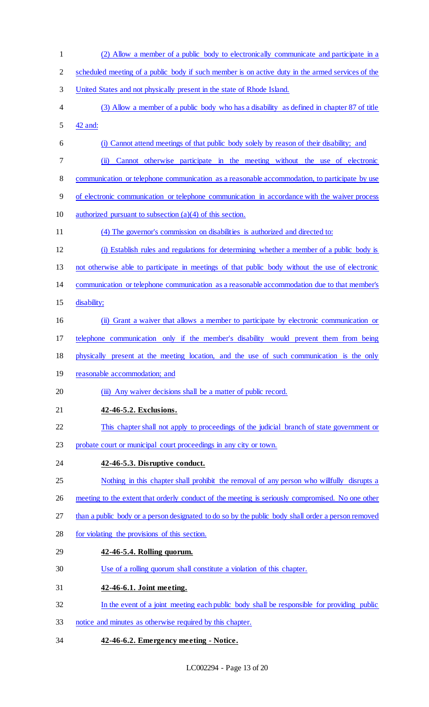- (2) Allow a member of a public body to electronically communicate and participate in a scheduled meeting of a public body if such member is on active duty in the armed services of the United States and not physically present in the state of Rhode Island. (3) Allow a member of a public body who has a disability as defined in chapter 87 of title 42 and: (i) Cannot attend meetings of that public body solely by reason of their disability; and (ii) Cannot otherwise participate in the meeting without the use of electronic 8 communication or telephone communication as a reasonable accommodation, to participate by use of electronic communication or telephone communication in accordance with the waiver process authorized pursuant to subsection (a)(4) of this section. (4) The governor's commission on disabilities is authorized and directed to: (i) Establish rules and regulations for determining whether a member of a public body is not otherwise able to participate in meetings of that public body without the use of electronic communication or telephone communication as a reasonable accommodation due to that member's disability; (ii) Grant a waiver that allows a member to participate by electronic communication or telephone communication only if the member's disability would prevent them from being physically present at the meeting location, and the use of such communication is the only reasonable accommodation; and 20 (iii) Any waiver decisions shall be a matter of public record. **42-46-5.2. Exclusions.**  This chapter shall not apply to proceedings of the judicial branch of state government or probate court or municipal court proceedings in any city or town. **42-46-5.3. Disruptive conduct.**  Nothing in this chapter shall prohibit the removal of any person who willfully disrupts a 26 meeting to the extent that orderly conduct of the meeting is seriously compromised. No one other than a public body or a person designated to do so by the public body shall order a person removed for violating the provisions of this section. **42-46-5.4. Rolling quorum.**  Use of a rolling quorum shall constitute a violation of this chapter. **42-46-6.1. Joint meeting.**  In the event of a joint meeting each public body shall be responsible for providing public notice and minutes as otherwise required by this chapter.
- **42-46-6.2. Emergency meeting - Notice.**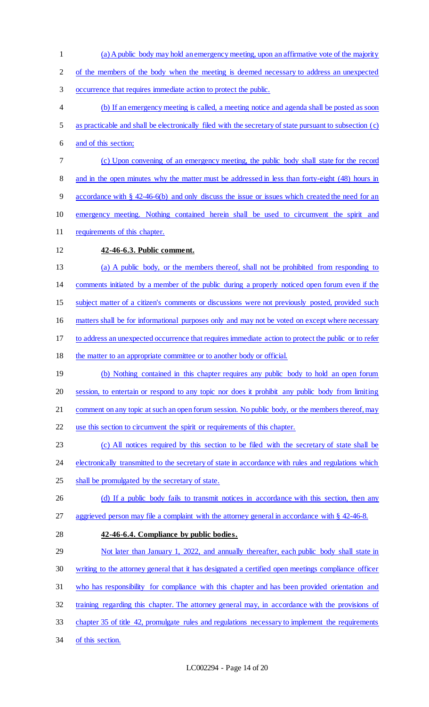of the members of the body when the meeting is deemed necessary to address an unexpected occurrence that requires immediate action to protect the public. (b) If an emergency meeting is called, a meeting notice and agenda shall be posted as soon as practicable and shall be electronically filed with the secretary of state pursuant to subsection (c) and of this section; (c) Upon convening of an emergency meeting, the public body shall state for the record 8 and in the open minutes why the matter must be addressed in less than forty-eight (48) hours in accordance with § 42-46-6(b) and only discuss the issue or issues which created the need for an emergency meeting. Nothing contained herein shall be used to circumvent the spirit and requirements of this chapter. **42-46-6.3. Public comment.**  (a) A public body, or the members thereof, shall not be prohibited from responding to comments initiated by a member of the public during a properly noticed open forum even if the subject matter of a citizen's comments or discussions were not previously posted, provided such matters shall be for informational purposes only and may not be voted on except where necessary to address an unexpected occurrence that requires immediate action to protect the public or to refer 18 the matter to an appropriate committee or to another body or official. (b) Nothing contained in this chapter requires any public body to hold an open forum session, to entertain or respond to any topic nor does it prohibit any public body from limiting 21 comment on any topic at such an open forum session. No public body, or the members thereof, may use this section to circumvent the spirit or requirements of this chapter. (c) All notices required by this section to be filed with the secretary of state shall be 24 electronically transmitted to the secretary of state in accordance with rules and regulations which 25 shall be promulgated by the secretary of state. 26 (d) If a public body fails to transmit notices in accordance with this section, then any 27 aggrieved person may file a complaint with the attorney general in accordance with § 42-46-8. **42-46-6.4. Compliance by public bodies.**  29 Not later than January 1, 2022, and annually thereafter, each public body shall state in writing to the attorney general that it has designated a certified open meetings compliance officer who has responsibility for compliance with this chapter and has been provided orientation and training regarding this chapter. The attorney general may, in accordance with the provisions of 33 chapter 35 of title 42, promulgate rules and regulations necessary to implement the requirements of this section.

(a)A public body may hold anemergency meeting, upon an affirmative vote of the majority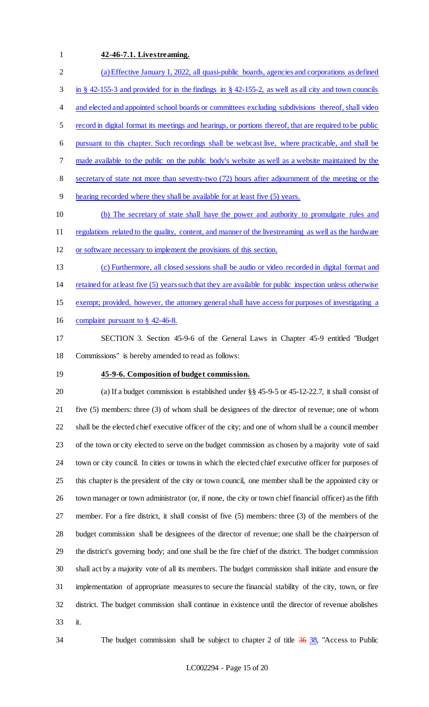#### **42-46-7.1. Livestreaming.**

 (a) Effective January 1, 2022, all quasi-public boards, agencies and corporations as defined in § 42-155-3 and provided for in the findings in § 42-155-2, as well as all city and town councils 4 and elected and appointed school boards or committees excluding subdivisions thereof, shall video record in digital format its meetings and hearings, or portions thereof, that are required to be public pursuant to this chapter. Such recordings shall be webcast live, where practicable, and shall be made available to the public on the public body's website as well as a website maintained by the secretary of state not more than seventy-two (72) hours after adjournment of the meeting or the hearing recorded where they shall be available for at least five (5) years. (b) The secretary of state shall have the power and authority to promulgate rules and 11 regulations related to the quality, content, and manner of the livestreaming as well as the hardware or software necessary to implement the provisions of this section. (c) Furthermore, all closed sessions shall be audio or video recorded in digital format and retained for at least five (5) years such that they are available for public inspection unless otherwise exempt; provided, however, the attorney general shall have access for purposes of investigating a complaint pursuant to § 42-46-8.

- SECTION 3. Section 45-9-6 of the General Laws in Chapter 45-9 entitled "Budget Commissions" is hereby amended to read as follows:
- 

## **45-9-6. Composition of budget commission.**

 (a) If a budget commission is established under §§ 45-9-5 or 45-12-22.7, it shall consist of five (5) members: three (3) of whom shall be designees of the director of revenue; one of whom shall be the elected chief executive officer of the city; and one of whom shall be a council member of the town or city elected to serve on the budget commission as chosen by a majority vote of said town or city council. In cities or towns in which the elected chief executive officer for purposes of this chapter is the president of the city or town council, one member shall be the appointed city or town manager or town administrator (or, if none, the city or town chief financial officer) as the fifth member. For a fire district, it shall consist of five (5) members: three (3) of the members of the budget commission shall be designees of the director of revenue; one shall be the chairperson of the district's governing body; and one shall be the fire chief of the district. The budget commission shall act by a majority vote of all its members. The budget commission shall initiate and ensure the implementation of appropriate measures to secure the financial stability of the city, town, or fire district. The budget commission shall continue in existence until the director of revenue abolishes it.

34 The budget commission shall be subject to chapter 2 of title 36 38, "Access to Public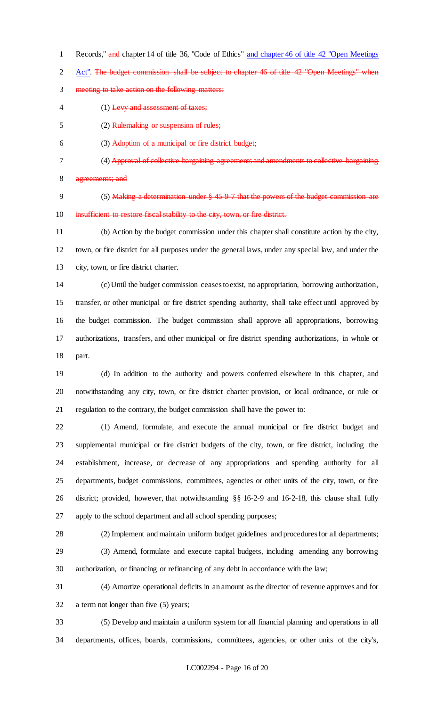Records," and chapter 14 of title 36, "Code of Ethics" and chapter 46 of title 42 "Open Meetings

2 Act". The budget commission shall be subject to chapter 46 of title 42 "Open Meetings" when

- meeting to take action on the following matters:
- 4 (1) Levy and assessment of taxes;
- (2) Rulemaking or suspension of rules;
- (3) Adoption of a municipal or fire district budget;
- (4) Approval of collective bargaining agreements and amendments to collective bargaining

agreements; and

9 (5) Making a determination under § 45-9-7 that the powers of the budget commission are 10 insufficient to restore fiscal stability to the city, town, or fire district.

 (b) Action by the budget commission under this chapter shall constitute action by the city, town, or fire district for all purposes under the general laws, under any special law, and under the city, town, or fire district charter.

 (c) Until the budget commission ceases to exist, no appropriation, borrowing authorization, transfer, or other municipal or fire district spending authority, shall take effect until approved by the budget commission. The budget commission shall approve all appropriations, borrowing authorizations, transfers, and other municipal or fire district spending authorizations, in whole or part.

 (d) In addition to the authority and powers conferred elsewhere in this chapter, and notwithstanding any city, town, or fire district charter provision, or local ordinance, or rule or regulation to the contrary, the budget commission shall have the power to:

 (1) Amend, formulate, and execute the annual municipal or fire district budget and supplemental municipal or fire district budgets of the city, town, or fire district, including the establishment, increase, or decrease of any appropriations and spending authority for all departments, budget commissions, committees, agencies or other units of the city, town, or fire district; provided, however, that notwithstanding §§ 16-2-9 and 16-2-18, this clause shall fully apply to the school department and all school spending purposes;

 (2) Implement and maintain uniform budget guidelines and procedures for all departments; (3) Amend, formulate and execute capital budgets, including amending any borrowing authorization, or financing or refinancing of any debt in accordance with the law;

 (4) Amortize operational deficits in an amount as the director of revenue approves and for a term not longer than five (5) years;

 (5) Develop and maintain a uniform system for all financial planning and operations in all departments, offices, boards, commissions, committees, agencies, or other units of the city's,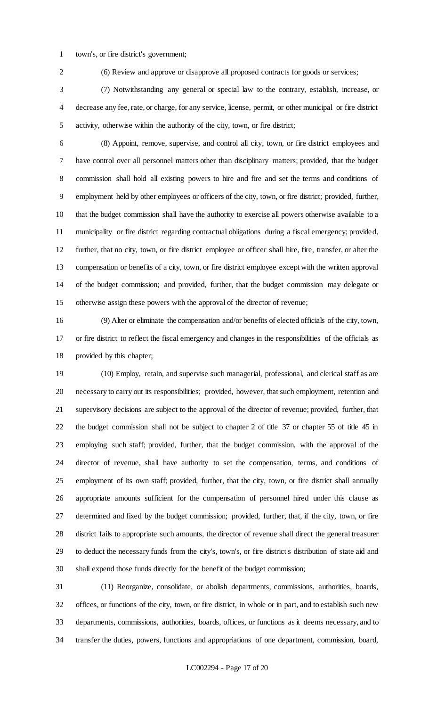- town's, or fire district's government;
- 

(6) Review and approve or disapprove all proposed contracts for goods or services;

 (7) Notwithstanding any general or special law to the contrary, establish, increase, or decrease any fee, rate, or charge, for any service, license, permit, or other municipal or fire district activity, otherwise within the authority of the city, town, or fire district;

 (8) Appoint, remove, supervise, and control all city, town, or fire district employees and have control over all personnel matters other than disciplinary matters; provided, that the budget commission shall hold all existing powers to hire and fire and set the terms and conditions of employment held by other employees or officers of the city, town, or fire district; provided, further, that the budget commission shall have the authority to exercise all powers otherwise available to a municipality or fire district regarding contractual obligations during a fiscal emergency; provided, further, that no city, town, or fire district employee or officer shall hire, fire, transfer, or alter the compensation or benefits of a city, town, or fire district employee except with the written approval of the budget commission; and provided, further, that the budget commission may delegate or otherwise assign these powers with the approval of the director of revenue;

 (9) Alter or eliminate the compensation and/or benefits of elected officials of the city, town, or fire district to reflect the fiscal emergency and changes in the responsibilities of the officials as provided by this chapter;

 (10) Employ, retain, and supervise such managerial, professional, and clerical staff as are necessary to carry out its responsibilities; provided, however, that such employment, retention and supervisory decisions are subject to the approval of the director of revenue; provided, further, that the budget commission shall not be subject to chapter 2 of title 37 or chapter 55 of title 45 in employing such staff; provided, further, that the budget commission, with the approval of the director of revenue, shall have authority to set the compensation, terms, and conditions of employment of its own staff; provided, further, that the city, town, or fire district shall annually appropriate amounts sufficient for the compensation of personnel hired under this clause as determined and fixed by the budget commission; provided, further, that, if the city, town, or fire district fails to appropriate such amounts, the director of revenue shall direct the general treasurer to deduct the necessary funds from the city's, town's, or fire district's distribution of state aid and shall expend those funds directly for the benefit of the budget commission;

 (11) Reorganize, consolidate, or abolish departments, commissions, authorities, boards, offices, or functions of the city, town, or fire district, in whole or in part, and to establish such new departments, commissions, authorities, boards, offices, or functions as it deems necessary, and to transfer the duties, powers, functions and appropriations of one department, commission, board,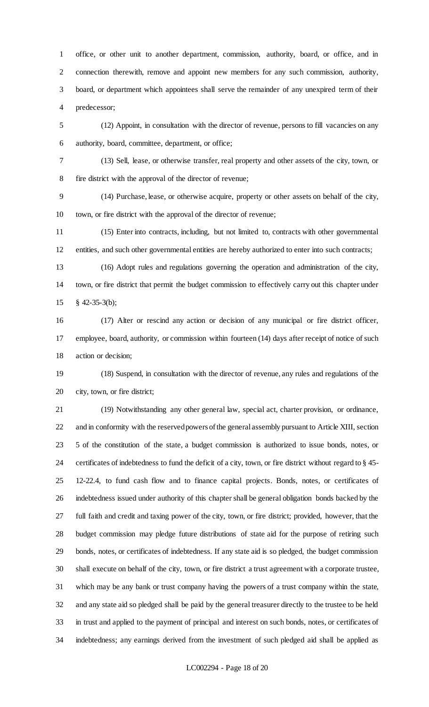office, or other unit to another department, commission, authority, board, or office, and in connection therewith, remove and appoint new members for any such commission, authority, board, or department which appointees shall serve the remainder of any unexpired term of their predecessor;

 (12) Appoint, in consultation with the director of revenue, persons to fill vacancies on any authority, board, committee, department, or office;

 (13) Sell, lease, or otherwise transfer, real property and other assets of the city, town, or fire district with the approval of the director of revenue;

 (14) Purchase, lease, or otherwise acquire, property or other assets on behalf of the city, town, or fire district with the approval of the director of revenue;

 (15) Enter into contracts, including, but not limited to, contracts with other governmental entities, and such other governmental entities are hereby authorized to enter into such contracts;

 (16) Adopt rules and regulations governing the operation and administration of the city, town, or fire district that permit the budget commission to effectively carry out this chapter under § 42-35-3(b);

 (17) Alter or rescind any action or decision of any municipal or fire district officer, employee, board, authority, or commission within fourteen (14) days after receipt of notice of such action or decision;

 (18) Suspend, in consultation with the director of revenue, any rules and regulations of the city, town, or fire district;

 (19) Notwithstanding any other general law, special act, charter provision, or ordinance, and in conformity with the reserved powers of the general assembly pursuant to Article XIII, section 5 of the constitution of the state, a budget commission is authorized to issue bonds, notes, or certificates of indebtedness to fund the deficit of a city, town, or fire district without regard to § 45- 12-22.4, to fund cash flow and to finance capital projects. Bonds, notes, or certificates of indebtedness issued under authority of this chapter shall be general obligation bonds backed by the full faith and credit and taxing power of the city, town, or fire district; provided, however, that the budget commission may pledge future distributions of state aid for the purpose of retiring such bonds, notes, or certificates of indebtedness. If any state aid is so pledged, the budget commission shall execute on behalf of the city, town, or fire district a trust agreement with a corporate trustee, which may be any bank or trust company having the powers of a trust company within the state, and any state aid so pledged shall be paid by the general treasurer directly to the trustee to be held in trust and applied to the payment of principal and interest on such bonds, notes, or certificates of indebtedness; any earnings derived from the investment of such pledged aid shall be applied as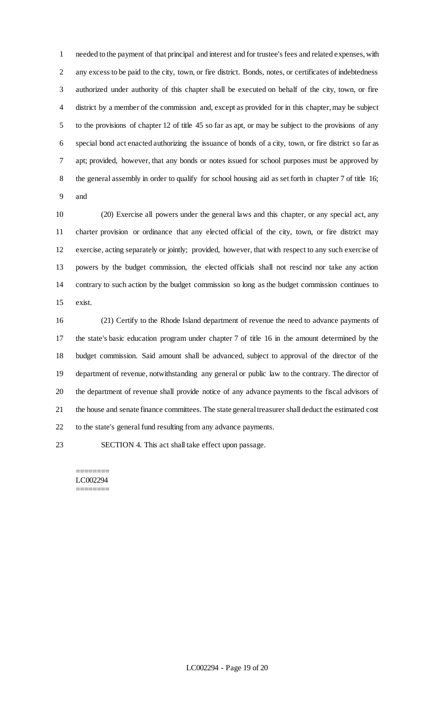needed to the payment of that principal and interest and for trustee's fees and related expenses, with any excess to be paid to the city, town, or fire district. Bonds, notes, or certificates of indebtedness authorized under authority of this chapter shall be executed on behalf of the city, town, or fire district by a member of the commission and, except as provided for in this chapter, may be subject to the provisions of chapter 12 of title 45 so far as apt, or may be subject to the provisions of any special bond act enacted authorizing the issuance of bonds of a city, town, or fire district so far as apt; provided, however, that any bonds or notes issued for school purposes must be approved by the general assembly in order to qualify for school housing aid as set forth in chapter 7 of title 16; and

 (20) Exercise all powers under the general laws and this chapter, or any special act, any charter provision or ordinance that any elected official of the city, town, or fire district may exercise, acting separately or jointly; provided, however, that with respect to any such exercise of powers by the budget commission, the elected officials shall not rescind nor take any action contrary to such action by the budget commission so long as the budget commission continues to exist.

 (21) Certify to the Rhode Island department of revenue the need to advance payments of the state's basic education program under chapter 7 of title 16 in the amount determined by the budget commission. Said amount shall be advanced, subject to approval of the director of the department of revenue, notwithstanding any general or public law to the contrary. The director of the department of revenue shall provide notice of any advance payments to the fiscal advisors of the house and senate finance committees. The state general treasurer shall deduct the estimated cost to the state's general fund resulting from any advance payments.

SECTION 4. This act shall take effect upon passage.

======== LC002294 ========